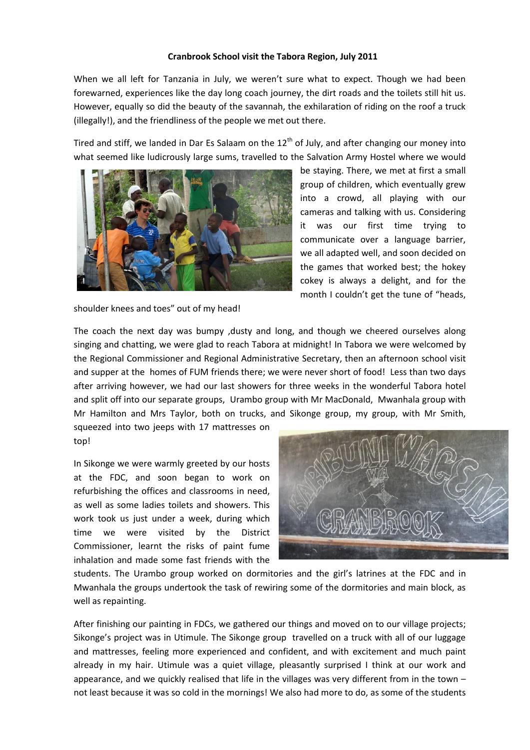## **Cranbrook School visit the Tabora Region, July 2011**

When we all left for Tanzania in July, we weren't sure what to expect. Though we had been forewarned, experiences like the day long coach journey, the dirt roads and the toilets still hit us. However, equally so did the beauty of the savannah, the exhilaration of riding on the roof a truck (illegally!), and the friendliness of the people we met out there.

Tired and stiff, we landed in Dar Es Salaam on the 12<sup>th</sup> of July, and after changing our money into what seemed like ludicrously large sums, travelled to the Salvation Army Hostel where we would



be staying. There, we met at first a small group of children, which eventually grew into a crowd, all playing with our cameras and talking with us. Considering it was our first time trying to communicate over a language barrier, we all adapted well, and soon decided on the games that worked best; the hokey cokey is always a delight, and for the month I couldn't get the tune of "heads,

shoulder knees and toes" out of my head!

The coach the next day was bumpy ,dusty and long, and though we cheered ourselves along singing and chatting, we were glad to reach Tabora at midnight! In Tabora we were welcomed by the Regional Commissioner and Regional Administrative Secretary, then an afternoon school visit and supper at the homes of FUM friends there; we were never short of food! Less than two days after arriving however, we had our last showers for three weeks in the wonderful Tabora hotel and split off into our separate groups, Urambo group with Mr MacDonald, Mwanhala group with Mr Hamilton and Mrs Taylor, both on trucks, and Sikonge group, my group, with Mr Smith,

squeezed into two jeeps with 17 mattresses on top!

In Sikonge we were warmly greeted by our hosts at the FDC, and soon began to work on refurbishing the offices and classrooms in need, as well as some ladies toilets and showers. This work took us just under a week, during which time we were visited by the District Commissioner, learnt the risks of paint fume inhalation and made some fast friends with the



students. The Urambo group worked on dormitories and the girl's latrines at the FDC and in Mwanhala the groups undertook the task of rewiring some of the dormitories and main block, as well as repainting.

After finishing our painting in FDCs, we gathered our things and moved on to our village projects; Sikonge's project was in Utimule. The Sikonge group travelled on a truck with all of our luggage and mattresses, feeling more experienced and confident, and with excitement and much paint already in my hair. Utimule was a quiet village, pleasantly surprised I think at our work and appearance, and we quickly realised that life in the villages was very different from in the town – not least because it was so cold in the mornings! We also had more to do, as some of the students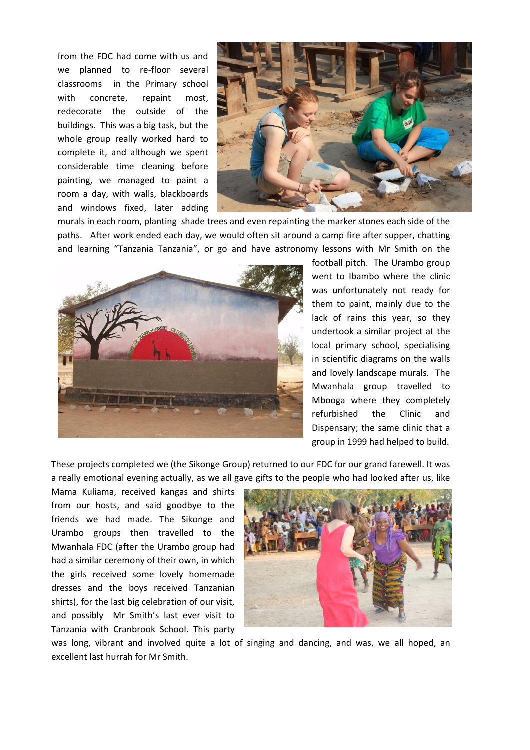from the FDC had come with us and we planned to re-floor several classrooms in the Primary school with concrete, repaint most, redecorate the outside of the buildings. This was a big task, but the whole group really worked hard to complete it, and although we spent considerable time cleaning before painting, we managed to paint a room a day, with walls, blackboards and windows fixed, later adding



murals in each room, planting shade trees and even repainting the marker stones each side of the paths. After work ended each day, we would often sit around a camp fire after supper, chatting and learning "Tanzania Tanzania", or go and have astronomy lessons with Mr Smith on the



football pitch. The Urambo group went to Ibambo where the clinic was unfortunately not ready for them to paint, mainly due to the lack of rains this year, so they undertook a similar project at the local primary school, specialising in scientific diagrams on the walls and lovely landscape murals. The Mwanhala group travelled to Mbooga where they completely refurbished the Clinic and Dispensary; the same clinic that a group in 1999 had helped to build.

These projects completed we (the Sikonge Group) returned to our FDC for our grand farewell. It was a really emotional evening actually, as we all gave gifts to the people who had looked after us, like

Mama Kuliama, received kangas and shirts from our hosts, and said goodbye to the friends we had made. The Sikonge and Urambo groups then travelled to the Mwanhala FDC (after the Urambo group had had a similar ceremony of their own, in which the girls received some lovely homemade dresses and the boys received Tanzanian shirts), for the last big celebration of our visit, and possibly Mr Smith's last ever visit to Tanzania with Cranbrook School. This party



was long, vibrant and involved quite a lot of singing and dancing, and was, we all hoped, an excellent last hurrah for Mr Smith.